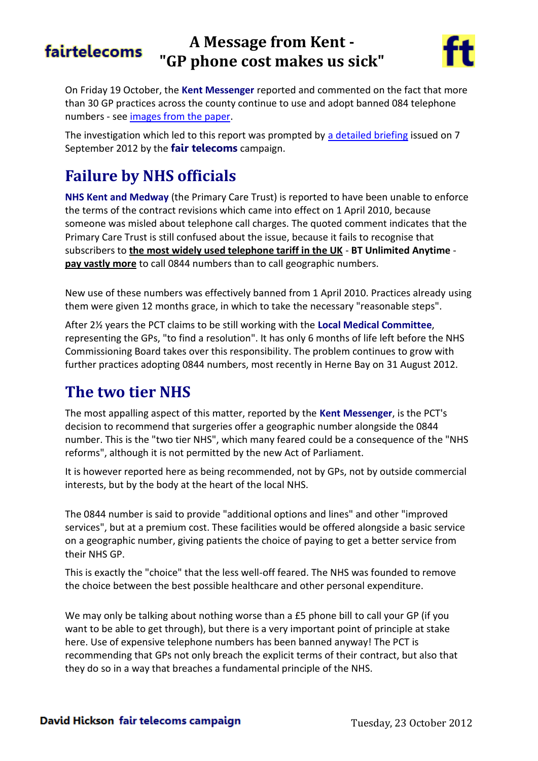#### **A Message from Kent**  fairtelecoms **"GP phone cost makes us sick"**



On Friday 19 October, the **Kent Messenger** reported and commented on the fact that more than 30 GP practices across the county continue to use and adopt banned 084 telephone numbers - see [images from the paper.](http://tiny.cc/KMSick)

The investigation which led to this report was prompted by [a detailed briefing](http://tiny.cc/KentGPsEmail) issued on 7 September 2012 by the **fair telecoms** campaign.

## **Failure by NHS officials**

**NHS Kent and Medway** (the Primary Care Trust) is reported to have been unable to enforce the terms of the contract revisions which came into effect on 1 April 2010, because someone was misled about telephone call charges. The quoted comment indicates that the Primary Care Trust is still confused about the issue, because it fails to recognise that subscribers to **the most widely used telephone tariff in the UK** - **BT Unlimited Anytime pay vastly more** to call 0844 numbers than to call geographic numbers.

New use of these numbers was effectively banned from 1 April 2010. Practices already using them were given 12 months grace, in which to take the necessary "reasonable steps".

After 2½ years the PCT claims to be still working with the **Local Medical Committee**, representing the GPs, "to find a resolution". It has only 6 months of life left before the NHS Commissioning Board takes over this responsibility. The problem continues to grow with further practices adopting 0844 numbers, most recently in Herne Bay on 31 August 2012.

## **The two tier NHS**

The most appalling aspect of this matter, reported by the **Kent Messenger**, is the PCT's decision to recommend that surgeries offer a geographic number alongside the 0844 number. This is the "two tier NHS", which many feared could be a consequence of the "NHS reforms", although it is not permitted by the new Act of Parliament.

It is however reported here as being recommended, not by GPs, not by outside commercial interests, but by the body at the heart of the local NHS.

The 0844 number is said to provide "additional options and lines" and other "improved services", but at a premium cost. These facilities would be offered alongside a basic service on a geographic number, giving patients the choice of paying to get a better service from their NHS GP.

This is exactly the "choice" that the less well-off feared. The NHS was founded to remove the choice between the best possible healthcare and other personal expenditure.

We may only be talking about nothing worse than a £5 phone bill to call your GP (if you want to be able to get through), but there is a very important point of principle at stake here. Use of expensive telephone numbers has been banned anyway! The PCT is recommending that GPs not only breach the explicit terms of their contract, but also that they do so in a way that breaches a fundamental principle of the NHS.